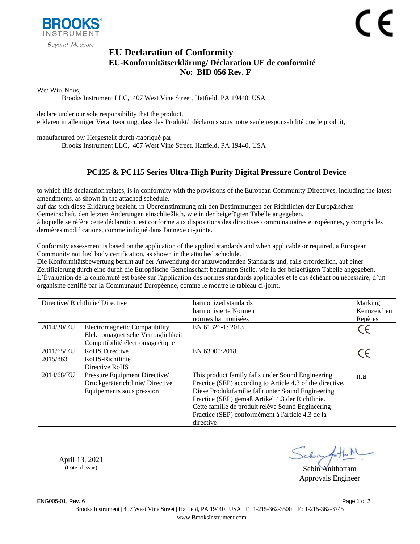

<span id="page-0-1"></span>

## <span id="page-0-0"></span>**EU Declaration of Conformity EU-Konformitätserklärung/ Déclaration UE de conformité No: BID 056 Rev. F**

We/ Wir/ Nous,

Brooks Instrument LLC, 407 West Vine Street, Hatfield, PA 19440, USA

declare under our sole responsibility that the product, erklären in alleiniger Verantwortung, dass das Produkt/ déclarons sous notre seule responsabilité que le produit,

manufactured by/ Hergestellt durch /fabriqué par

Brooks Instrument LLC, 407 West Vine Street, Hatfield, PA 19440, USA

## <span id="page-0-2"></span>**PC125 & PC115 Series Ultra-High Purity Digital Pressure Control Device**

to which this declaration relates, is in conformity with the provisions of the European Community Directives, including the latest amendments, as shown in the attached schedule.

auf das sich diese Erklärung bezieht, in Übereinstimmung mit den Bestimmungen der Richtlinien der Europäischen Gemeinschaft, den letzten Änderungen einschließlich, wie in der beigefügten Tabelle angegeben.

à laquelle se réfère cette déclaration, est conforme aux dispositions des directives communautaires européennes, y compris les dernières modifications, comme indiqué dans l'annexe ci-jointe.

Conformity assessment is based on the application of the applied standards and when applicable or required, a European Community notified body certification, as shown in the attached schedule.

Die Konformitätsbewertung beruht auf der Anwendung der anzuwendenden Standards und, falls erforderlich, auf einer Zertifizierung durch eine durch die Europäische Gemeinschaft benannten Stelle, wie in der beigefügten Tabelle angegeben. L'Évaluation de la conformité est basée sur l'application des normes standards applicables et le cas échéant ou nécessaire, d'un organisme certifié par la Communauté Européenne, comme le montre le tableau ci-joint.

| Directive/Richtlinie/Directive |                                      | harmonized standards                                      | Marking     |
|--------------------------------|--------------------------------------|-----------------------------------------------------------|-------------|
|                                |                                      | harmonisierte Normen                                      | Kennzeichen |
|                                |                                      | normes harmonisées                                        | Repères     |
| 2014/30/EU                     | <b>Electromagnetic Compatibility</b> | EN 61326-1: 2013                                          | CE          |
|                                | Elektromagnetische Verträglichkeit   |                                                           |             |
|                                | Compatibilité électromagnétique      |                                                           |             |
| 2011/65/EU                     | <b>RoHS</b> Directive                | EN 63000:2018                                             | CE          |
| 2015/863                       | RoHS-Richtlinie                      |                                                           |             |
|                                | Directive RoHS                       |                                                           |             |
| 2014/68/EU                     | Pressure Equipment Directive/        | This product family falls under Sound Engineering         | n.a         |
|                                | Druckgeräterichtlinie/Directive      | Practice (SEP) according to Article 4.3 of the directive. |             |
|                                | Equipements sous pression            | Diese Produktfamilie fällt unter Sound Engineering        |             |
|                                |                                      | Practice (SEP) gemäß Artikel 4.3 der Richtlinie.          |             |
|                                |                                      | Cette famille de produit relève Sound Engineering         |             |
|                                |                                      | Practice (SEP) conformément à l'article 4.3 de la         |             |
|                                |                                      | directive                                                 |             |

April 13, 2021

(Date of issue) Sebin Anithottam Approvals Engineer